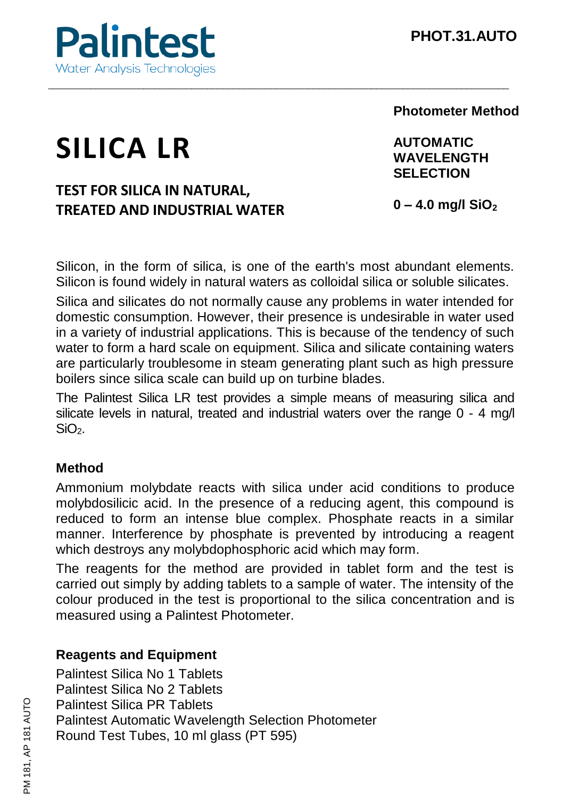

## **Photometer Method**

# **SILICA LR**

# **TEST FOR SILICA IN NATURAL, TREATED AND INDUSTRIAL WATER**

**AUTOMATIC WAVELENGTH SELECTION**

**0 – 4.0 mg/l SiO<sup>2</sup>**

Silicon, in the form of silica, is one of the earth's most abundant elements. Silicon is found widely in natural waters as colloidal silica or soluble silicates.

\_\_\_\_\_\_\_\_\_\_\_\_\_\_\_\_\_\_\_\_\_\_\_\_\_\_\_\_\_\_\_\_\_\_\_\_\_\_\_\_\_\_\_\_\_\_\_\_\_\_\_\_\_\_\_\_\_\_\_\_\_\_\_\_\_\_\_\_\_\_\_\_\_\_\_\_\_\_\_\_\_\_\_\_\_\_\_

Silica and silicates do not normally cause any problems in water intended for domestic consumption. However, their presence is undesirable in water used in a variety of industrial applications. This is because of the tendency of such water to form a hard scale on equipment. Silica and silicate containing waters are particularly troublesome in steam generating plant such as high pressure boilers since silica scale can build up on turbine blades.

The Palintest Silica LR test provides a simple means of measuring silica and silicate levels in natural, treated and industrial waters over the range  $0 - 4$  mg/l  $SiO<sub>2</sub>$ 

#### **Method**

Ammonium molybdate reacts with silica under acid conditions to produce molybdosilicic acid. In the presence of a reducing agent, this compound is reduced to form an intense blue complex. Phosphate reacts in a similar manner. Interference by phosphate is prevented by introducing a reagent which destroys any molybdophosphoric acid which may form.

The reagents for the method are provided in tablet form and the test is carried out simply by adding tablets to a sample of water. The intensity of the colour produced in the test is proportional to the silica concentration and is measured using a Palintest Photometer.

## **Reagents and Equipment**

Palintest Silica No 1 Tablets Palintest Silica No 2 Tablets Palintest Silica PR Tablets Palintest Automatic Wavelength Selection Photometer Round Test Tubes, 10 ml glass (PT 595)